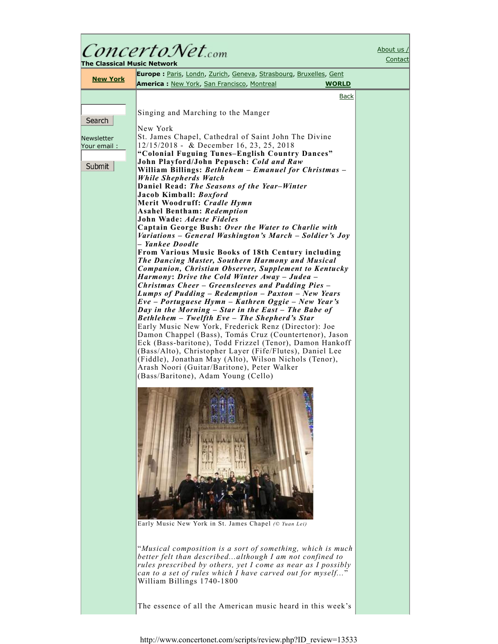| ConcertoNet.com                                                                                                                                                                                                                                                                                                                                                                                                                                                                                                                                                                                                                                                                                                                                                                                                                                                                                                                                                                                                                                                                                                                                                                                                                                                                                                                                                                                                                                                                                       | About us /<br>Contact                                                                                                                                                                     |
|-------------------------------------------------------------------------------------------------------------------------------------------------------------------------------------------------------------------------------------------------------------------------------------------------------------------------------------------------------------------------------------------------------------------------------------------------------------------------------------------------------------------------------------------------------------------------------------------------------------------------------------------------------------------------------------------------------------------------------------------------------------------------------------------------------------------------------------------------------------------------------------------------------------------------------------------------------------------------------------------------------------------------------------------------------------------------------------------------------------------------------------------------------------------------------------------------------------------------------------------------------------------------------------------------------------------------------------------------------------------------------------------------------------------------------------------------------------------------------------------------------|-------------------------------------------------------------------------------------------------------------------------------------------------------------------------------------------|
| <b>Europe:</b> Paris, Londn, Zurich, Geneva, Strasbourg, Bruxelles, Gent<br><b>New York</b>                                                                                                                                                                                                                                                                                                                                                                                                                                                                                                                                                                                                                                                                                                                                                                                                                                                                                                                                                                                                                                                                                                                                                                                                                                                                                                                                                                                                           |                                                                                                                                                                                           |
|                                                                                                                                                                                                                                                                                                                                                                                                                                                                                                                                                                                                                                                                                                                                                                                                                                                                                                                                                                                                                                                                                                                                                                                                                                                                                                                                                                                                                                                                                                       |                                                                                                                                                                                           |
| Singing and Marching to the Manger                                                                                                                                                                                                                                                                                                                                                                                                                                                                                                                                                                                                                                                                                                                                                                                                                                                                                                                                                                                                                                                                                                                                                                                                                                                                                                                                                                                                                                                                    |                                                                                                                                                                                           |
| St. James Chapel, Cathedral of Saint John The Divine<br>12/15/2018 - & December 16, 23, 25, 2018<br>"Colonial Fuguing Tunes-English Country Dances"<br>John Playford/John Pepusch: Cold and Raw<br>William Billings: Bethlehem - Emanuel for Christmas -<br>While Shepherds Watch<br>Daniel Read: The Seasons of the Year-Winter<br>Jacob Kimball: Boxford<br>Merit Woodruff: Cradle Hymn<br><b>Asahel Bentham: Redemption</b><br>John Wade: Adeste Fideles<br>Captain George Bush: Over the Water to Charlie with<br>Variations – General Washington's March – Soldier's Joy<br>– Yankee Doodle<br><b>From Various Music Books of 18th Century including</b><br>The Dancing Master, Southern Harmony and Musical<br>Companion, Christian Observer, Supplement to Kentucky<br>Harmony: Drive the Cold Winter Away – Judea –<br><b>Christmas Cheer – Greensleeves and Pudding Pies –</b><br>Lumps of Pudding – Redemption – Paxton – New Years<br>Eve – Portuguese Hymn – Kathren Oggie – New Year's<br>Day in the Morning - Star in the East - The Babe of<br>Bethlehem – Twelfth Eve – The Shepherd's Star<br>Early Music New York, Frederick Renz (Director): Joe<br>Damon Chappel (Bass), Tomás Cruz (Countertenor), Jason<br>Eck (Bass-baritone), Todd Frizzel (Tenor), Damon Hankoff<br>(Bass/Alto), Christopher Layer (Fife/Flutes), Daniel Lee<br>(Fiddle), Jonathan May (Alto), Wilson Nichols (Tenor),<br>Arash Noori (Guitar/Baritone), Peter Walker<br>(Bass/Baritone), Adam Young (Cello) |                                                                                                                                                                                           |
| Early Music New York in St. James Chapel (© Yuan Lei)<br>"Musical composition is a sort of something, which is much<br>better felt than describedalthough I am not confined to<br>rules prescribed by others, yet I come as near as I possibly<br>can to a set of rules which I have carved out for myself"<br>William Billings 1740-1800                                                                                                                                                                                                                                                                                                                                                                                                                                                                                                                                                                                                                                                                                                                                                                                                                                                                                                                                                                                                                                                                                                                                                             |                                                                                                                                                                                           |
|                                                                                                                                                                                                                                                                                                                                                                                                                                                                                                                                                                                                                                                                                                                                                                                                                                                                                                                                                                                                                                                                                                                                                                                                                                                                                                                                                                                                                                                                                                       | The Classical Music Network<br><b>America:</b> New York, San Francisco, Montreal<br><b>WORLD</b><br><b>Back</b><br>New York<br>The essence of all the American music heard in this week's |

Г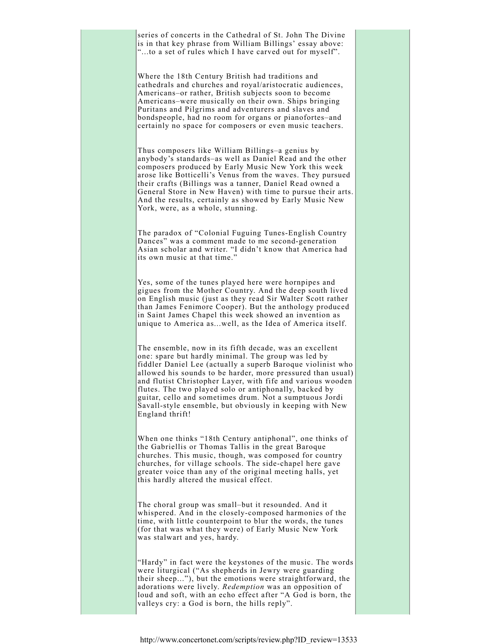series of concerts in the Cathedral of St. John The Divine is in that key phrase from William Billings' essay above: "...to a set of rules which I have carved out for myself".

Where the 18th Century British had traditions and cathedrals and churches and royal/aristocratic audiences, Americans–or rather, British subjects soon to become Americans–were musically on their own. Ships bringing Puritans and Pilgrims and adventurers and slaves and bondspeople, had no room for organs or pianofortes–and certainly no space for composers or even music teachers.

Thus composers like William Billings–a genius by anybody's standards–as well as Daniel Read and the other composers produced by Early Music New York this week arose like Botticelli's Venus from the waves. They pursued their crafts (Billings was a tanner, Daniel Read owned a General Store in New Haven) with time to pursue their arts. And the results, certainly as showed by Early Music New York, were, as a whole, stunning.

The paradox of "Colonial Fuguing Tunes-English Country Dances" was a comment made to me second-generation Asian scholar and writer. "I didn't know that America had its own music at that time."

Yes, some of the tunes played here were hornpipes and gigues from the Mother Country. And the deep south lived on English music (just as they read Sir Walter Scott rather than James Fenimore Cooper). But the anthology produced in Saint James Chapel this week showed an invention as unique to America as...well, as the Idea of America itself.

The ensemble, now in its fifth decade, was an excellent one: spare but hardly minimal. The group was led by fiddler Daniel Lee (actually a superb Baroque violinist who allowed his sounds to be harder, more pressured than usual) and flutist Christopher Layer, with fife and various wooden flutes. The two played solo or antiphonally, backed by guitar, cello and sometimes drum. Not a sumptuous Jordi Savall-style ensemble, but obviously in keeping with New England thrift!

When one thinks "18th Century antiphonal", one thinks of the Gabriellis or Thomas Tallis in the great Baroque churches. This music, though, was composed for country churches, for village schools. The side-chapel here gave greater voice than any of the original meeting halls, yet this hardly altered the musical effect.

The choral group was small–but it resounded. And it whispered. And in the closely-composed harmonies of the time, with little counterpoint to blur the words, the tunes (for that was what they were) of Early Music New York was stalwart and yes, hardy.

"Hardy" in fact were the keystones of the music. The words were liturgical ("As shepherds in Jewry were guarding their sheep..."), but the emotions were straightforward, the adorations were lively. *Redemption* was an opposition of loud and soft, with an echo effect after "A God is born, the valleys cry: a God is born, the hills reply".